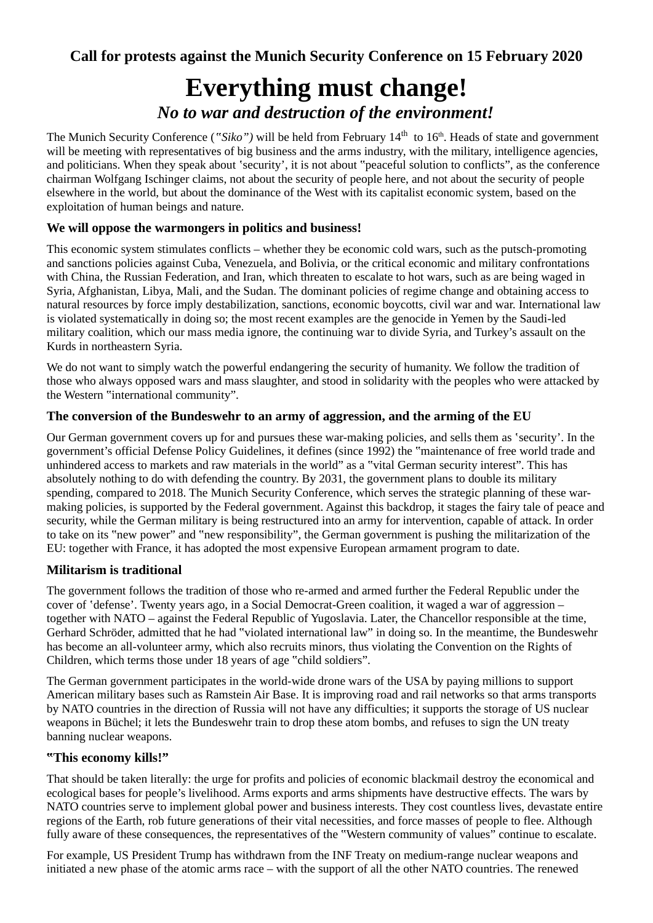# **Everything must change!** *No to war and destruction of the environment!*

The Munich Security Conference ("Siko") will be held from February 14<sup>th</sup> to 16<sup>th</sup>. Heads of state and government will be meeting with representatives of big business and the arms industry, with the military, intelligence agencies, and politicians. When they speak about 'security', it is not about "peaceful solution to conflicts", as the conference chairman Wolfgang Ischinger claims, not about the security of people here, and not about the security of people elsewhere in the world, but about the dominance of the West with its capitalist economic system, based on the exploitation of human beings and nature.

## **We will oppose the warmongers in politics and business!**

This economic system stimulates conflicts – whether they be economic cold wars, such as the putsch-promoting and sanctions policies against Cuba, Venezuela, and Bolivia, or the critical economic and military confrontations with China, the Russian Federation, and Iran, which threaten to escalate to hot wars, such as are being waged in Syria, Afghanistan, Libya, Mali, and the Sudan. The dominant policies of regime change and obtaining access to natural resources by force imply destabilization, sanctions, economic boycotts, civil war and war. International law is violated systematically in doing so; the most recent examples are the genocide in Yemen by the Saudi-led military coalition, which our mass media ignore, the continuing war to divide Syria, and Turkey's assault on the Kurds in northeastern Syria.

We do not want to simply watch the powerful endangering the security of humanity. We follow the tradition of those who always opposed wars and mass slaughter, and stood in solidarity with the peoples who were attacked by the Western "international community".

## **The conversion of the Bundeswehr to an army of aggression, and the arming of the EU**

Our German government covers up for and pursues these war-making policies, and sells them as 'security'. In the government's official Defense Policy Guidelines, it defines (since 1992) the "maintenance of free world trade and unhindered access to markets and raw materials in the world" as a "vital German security interest". This has absolutely nothing to do with defending the country. By 2031, the government plans to double its military spending, compared to 2018. The Munich Security Conference, which serves the strategic planning of these warmaking policies, is supported by the Federal government. Against this backdrop, it stages the fairy tale of peace and security, while the German military is being restructured into an army for intervention, capable of attack. In order to take on its "new power" and "new responsibility", the German government is pushing the militarization of the EU: together with France, it has adopted the most expensive European armament program to date.

## **Militarism is traditional**

The government follows the tradition of those who re-armed and armed further the Federal Republic under the cover of 'defense'. Twenty years ago, in a Social Democrat-Green coalition, it waged a war of aggression – together with NATO – against the Federal Republic of Yugoslavia. Later, the Chancellor responsible at the time, Gerhard Schröder, admitted that he had "violated international law" in doing so. In the meantime, the Bundeswehr has become an all-volunteer army, which also recruits minors, thus violating the Convention on the Rights of Children, which terms those under 18 years of age "child soldiers".

The German government participates in the world-wide drone wars of the USA by paying millions to support American military bases such as Ramstein Air Base. It is improving road and rail networks so that arms transports by NATO countries in the direction of Russia will not have any difficulties; it supports the storage of US nuclear weapons in Büchel; it lets the Bundeswehr train to drop these atom bombs, and refuses to sign the UN treaty banning nuclear weapons.

#### **"This economy kills!"**

That should be taken literally: the urge for profits and policies of economic blackmail destroy the economical and ecological bases for people's livelihood. Arms exports and arms shipments have destructive effects. The wars by NATO countries serve to implement global power and business interests. They cost countless lives, devastate entire regions of the Earth, rob future generations of their vital necessities, and force masses of people to flee. Although fully aware of these consequences, the representatives of the "Western community of values" continue to escalate.

For example, US President Trump has withdrawn from the INF Treaty on medium-range nuclear weapons and initiated a new phase of the atomic arms race – with the support of all the other NATO countries. The renewed